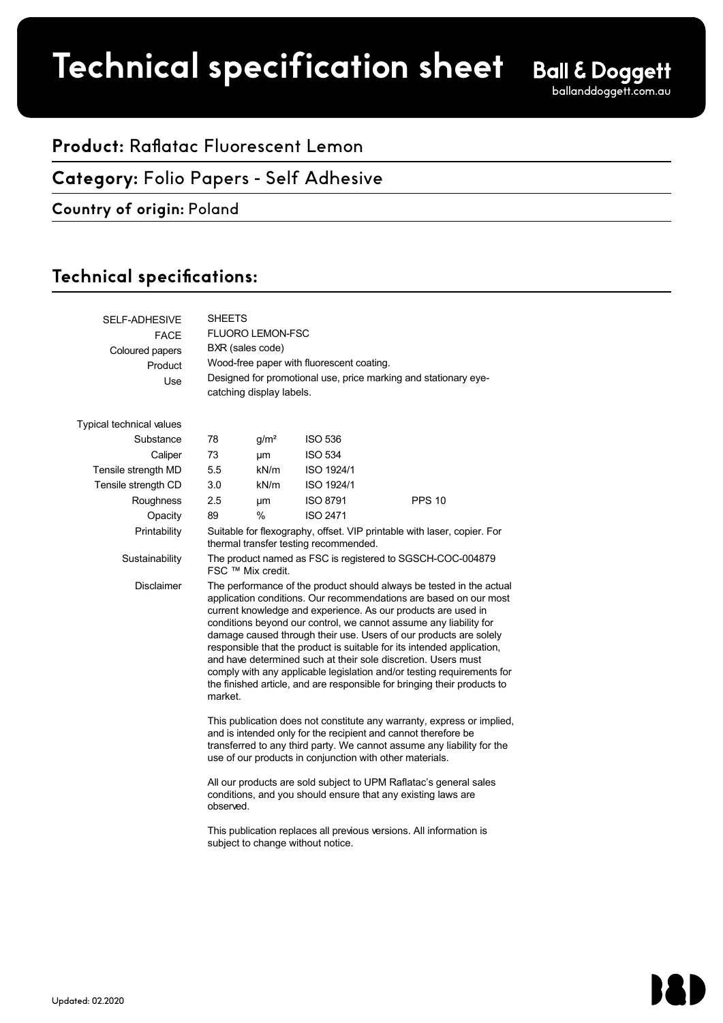**Product spec sheet Technical specification sheet**

## **Product:** Raflatac Fluorescent Lemon

### **Category:** Folio Papers - Self Adhesive

#### **Country of origin:** Poland

## Technical specifications:

| <b>SELF-ADHESIVE</b><br><b>FACE</b><br>Coloured papers<br>Product<br>Use | <b>SHEETS</b><br>FLUORO LEMON-FSC<br>BXR (sales code)<br>Wood-free paper with fluorescent coating.<br>Designed for promotional use, price marking and stationary eye-<br>catching display labels.                                                                                                                                                                                                                                                                                                                                                                                                                                                                |                  |                 |               |  |  |
|--------------------------------------------------------------------------|------------------------------------------------------------------------------------------------------------------------------------------------------------------------------------------------------------------------------------------------------------------------------------------------------------------------------------------------------------------------------------------------------------------------------------------------------------------------------------------------------------------------------------------------------------------------------------------------------------------------------------------------------------------|------------------|-----------------|---------------|--|--|
| Typical technical values                                                 |                                                                                                                                                                                                                                                                                                                                                                                                                                                                                                                                                                                                                                                                  |                  |                 |               |  |  |
| Substance                                                                | 78                                                                                                                                                                                                                                                                                                                                                                                                                                                                                                                                                                                                                                                               | g/m <sup>2</sup> | <b>ISO 536</b>  |               |  |  |
| Caliper                                                                  | 73                                                                                                                                                                                                                                                                                                                                                                                                                                                                                                                                                                                                                                                               | μm               | <b>ISO 534</b>  |               |  |  |
| Tensile strength MD                                                      | 5.5                                                                                                                                                                                                                                                                                                                                                                                                                                                                                                                                                                                                                                                              | kN/m             | ISO 1924/1      |               |  |  |
| Tensile strength CD                                                      | 3.0                                                                                                                                                                                                                                                                                                                                                                                                                                                                                                                                                                                                                                                              | kN/m             | ISO 1924/1      |               |  |  |
| Roughness                                                                | 2.5                                                                                                                                                                                                                                                                                                                                                                                                                                                                                                                                                                                                                                                              | μm               | <b>ISO 8791</b> | <b>PPS 10</b> |  |  |
| Opacity                                                                  | 89                                                                                                                                                                                                                                                                                                                                                                                                                                                                                                                                                                                                                                                               | $\%$             | <b>ISO 2471</b> |               |  |  |
| Printability                                                             | Suitable for flexography, offset. VIP printable with laser, copier. For<br>thermal transfer testing recommended.                                                                                                                                                                                                                                                                                                                                                                                                                                                                                                                                                 |                  |                 |               |  |  |
| Sustainability                                                           | The product named as FSC is registered to SGSCH-COC-004879<br>FSC ™ Mix credit.                                                                                                                                                                                                                                                                                                                                                                                                                                                                                                                                                                                  |                  |                 |               |  |  |
| <b>Disclaimer</b>                                                        | The performance of the product should always be tested in the actual<br>application conditions. Our recommendations are based on our most<br>current knowledge and experience. As our products are used in<br>conditions beyond our control, we cannot assume any liability for<br>damage caused through their use. Users of our products are solely<br>responsible that the product is suitable for its intended application,<br>and have determined such at their sole discretion. Users must<br>comply with any applicable legislation and/or testing requirements for<br>the finished article, and are responsible for bringing their products to<br>market. |                  |                 |               |  |  |
|                                                                          | This publication does not constitute any warranty, express or implied,<br>and is intended only for the recipient and cannot therefore be<br>transferred to any third party. We cannot assume any liability for the<br>use of our products in conjunction with other materials.                                                                                                                                                                                                                                                                                                                                                                                   |                  |                 |               |  |  |
|                                                                          | All our products are sold subject to UPM Raflatac's general sales<br>conditions, and you should ensure that any existing laws are<br>observed.                                                                                                                                                                                                                                                                                                                                                                                                                                                                                                                   |                  |                 |               |  |  |
|                                                                          | This publication replaces all previous versions. All information is<br>subject to change without notice.                                                                                                                                                                                                                                                                                                                                                                                                                                                                                                                                                         |                  |                 |               |  |  |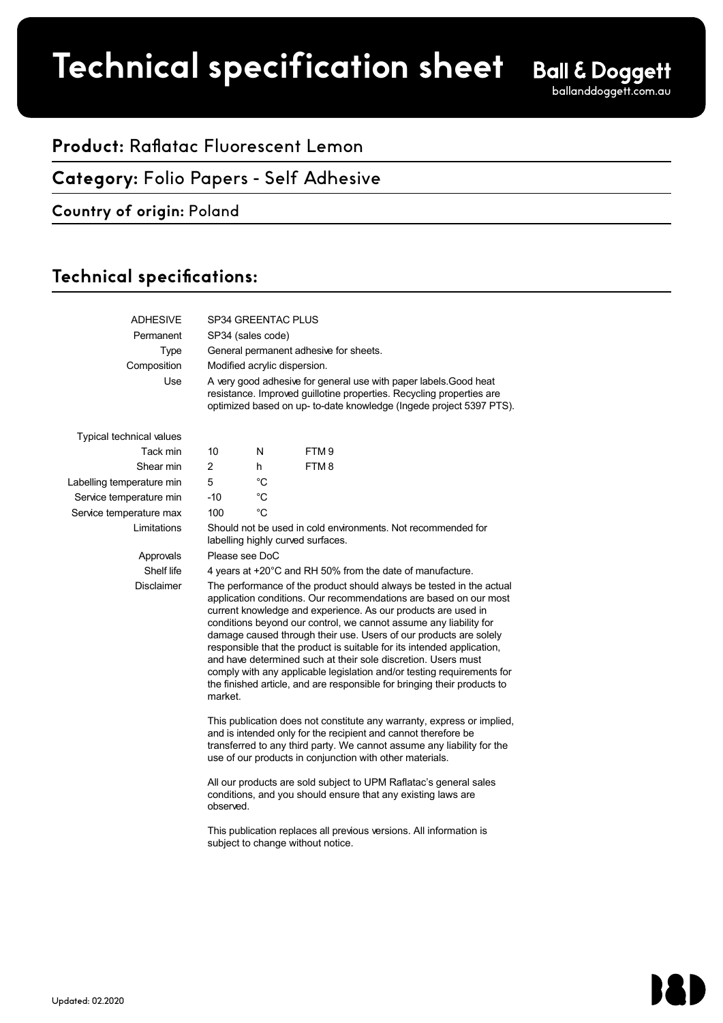**Product spec sheet Technical specification sheet**

# **Product:** Raflatac Fluorescent Lemon

### **Category:** Folio Papers - Self Adhesive

#### **Country of origin:** Poland

## Technical specifications:

| <b>ADHESIVE</b>                 | SP34 GREENTAC PLUS                                                                                                                                                                                                                                                                                                                                                                                                                                                                                                                                                                                                                                               |             |                  |  |  |
|---------------------------------|------------------------------------------------------------------------------------------------------------------------------------------------------------------------------------------------------------------------------------------------------------------------------------------------------------------------------------------------------------------------------------------------------------------------------------------------------------------------------------------------------------------------------------------------------------------------------------------------------------------------------------------------------------------|-------------|------------------|--|--|
| Permanent                       | SP34 (sales code)                                                                                                                                                                                                                                                                                                                                                                                                                                                                                                                                                                                                                                                |             |                  |  |  |
| <b>Type</b>                     | General permanent adhesive for sheets.                                                                                                                                                                                                                                                                                                                                                                                                                                                                                                                                                                                                                           |             |                  |  |  |
| Composition                     | Modified acrylic dispersion.                                                                                                                                                                                                                                                                                                                                                                                                                                                                                                                                                                                                                                     |             |                  |  |  |
| Use                             | A very good adhesive for general use with paper labels. Good heat<br>resistance. Improved guillotine properties. Recycling properties are<br>optimized based on up- to-date knowledge (Ingede project 5397 PTS).                                                                                                                                                                                                                                                                                                                                                                                                                                                 |             |                  |  |  |
| <b>Typical technical values</b> |                                                                                                                                                                                                                                                                                                                                                                                                                                                                                                                                                                                                                                                                  |             |                  |  |  |
| Tack min                        | 10                                                                                                                                                                                                                                                                                                                                                                                                                                                                                                                                                                                                                                                               | N           | FTM <sub>9</sub> |  |  |
| Shear min                       | $\overline{2}$                                                                                                                                                                                                                                                                                                                                                                                                                                                                                                                                                                                                                                                   | h           | FTM8             |  |  |
| Labelling temperature min       | 5                                                                                                                                                                                                                                                                                                                                                                                                                                                                                                                                                                                                                                                                | $^{\circ}C$ |                  |  |  |
| Service temperature min         | $-10$                                                                                                                                                                                                                                                                                                                                                                                                                                                                                                                                                                                                                                                            | °C          |                  |  |  |
| Service temperature max         | 100                                                                                                                                                                                                                                                                                                                                                                                                                                                                                                                                                                                                                                                              | $^{\circ}C$ |                  |  |  |
| Limitations                     | Should not be used in cold environments. Not recommended for<br>labelling highly curved surfaces.                                                                                                                                                                                                                                                                                                                                                                                                                                                                                                                                                                |             |                  |  |  |
| Approvals                       | Please see DoC                                                                                                                                                                                                                                                                                                                                                                                                                                                                                                                                                                                                                                                   |             |                  |  |  |
| Shelf life                      | 4 years at +20°C and RH 50% from the date of manufacture.                                                                                                                                                                                                                                                                                                                                                                                                                                                                                                                                                                                                        |             |                  |  |  |
| <b>Disclaimer</b>               | The performance of the product should always be tested in the actual<br>application conditions. Our recommendations are based on our most<br>current knowledge and experience. As our products are used in<br>conditions beyond our control, we cannot assume any liability for<br>damage caused through their use. Users of our products are solely<br>responsible that the product is suitable for its intended application,<br>and have determined such at their sole discretion. Users must<br>comply with any applicable legislation and/or testing requirements for<br>the finished article, and are responsible for bringing their products to<br>market. |             |                  |  |  |
|                                 | This publication does not constitute any warranty, express or implied,<br>and is intended only for the recipient and cannot therefore be<br>transferred to any third party. We cannot assume any liability for the<br>use of our products in conjunction with other materials.                                                                                                                                                                                                                                                                                                                                                                                   |             |                  |  |  |
|                                 | All our products are sold subject to UPM Raflatac's general sales<br>conditions, and you should ensure that any existing laws are<br>observed.                                                                                                                                                                                                                                                                                                                                                                                                                                                                                                                   |             |                  |  |  |
|                                 | This publication replaces all previous versions. All information is<br>subject to change without notice.                                                                                                                                                                                                                                                                                                                                                                                                                                                                                                                                                         |             |                  |  |  |